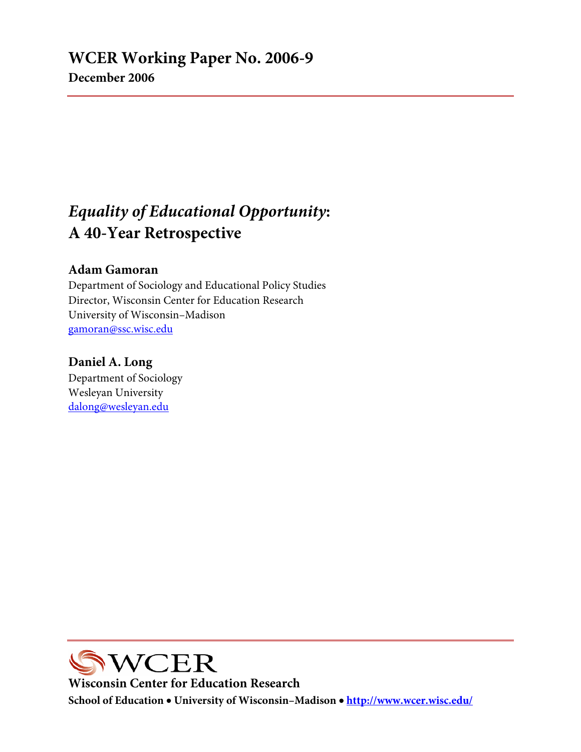# *Equality of Educational Opportunity***: A 40-Year Retrospective**

# **Adam Gamoran**

Department of Sociology and Educational Policy Studies Director, Wisconsin Center for Education Research University of Wisconsin–Madison [gamoran@ssc.wisc.edu](mailto:gamoran@ssc.wisc.edu)

# **Daniel A. Long**

Department of Sociology Wesleyan University [dalong@wesleyan.edu](mailto:dalong@wesleyan.edu)

**/CER Wisconsin Center for Education Research School of Education** • **University of Wisconsin–Madison** • **http://www.wcer.wisc.edu/**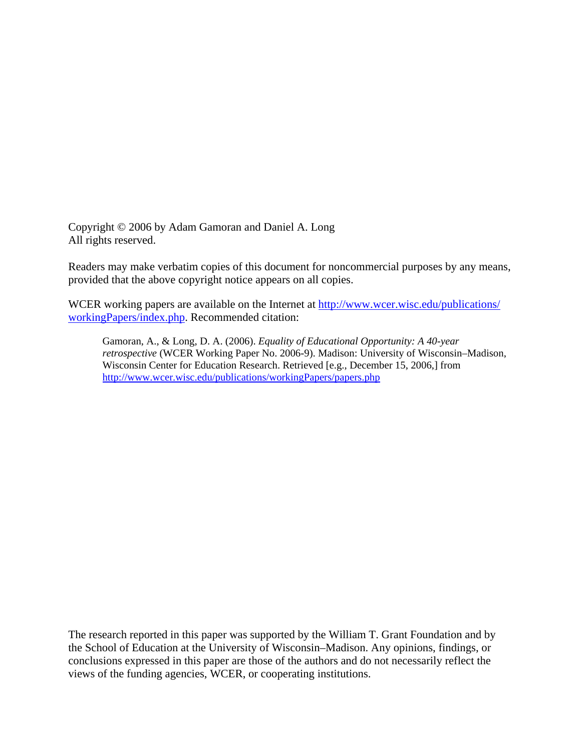Copyright © 2006 by Adam Gamoran and Daniel A. Long All rights reserved.

Readers may make verbatim copies of this document for noncommercial purposes by any means, provided that the above copyright notice appears on all copies.

WCER working papers are available on the Internet at [http://www.wcer.wisc.edu/publications/](http://www.wcer.wisc.edu/publications/workingPapers/index.php) [workingPapers/index.php](http://www.wcer.wisc.edu/publications/workingPapers/index.php). Recommended citation:

Gamoran, A., & Long, D. A. (2006). *Equality of Educational Opportunity: A 40-year retrospective* (WCER Working Paper No. 2006-9). Madison: University of Wisconsin–Madison, Wisconsin Center for Education Research. Retrieved [e.g., December 15, 2006,] from <http://www.wcer.wisc.edu/publications/workingPapers/papers.php>

The research reported in this paper was supported by the William T. Grant Foundation and by the School of Education at the University of Wisconsin–Madison. Any opinions, findings, or conclusions expressed in this paper are those of the authors and do not necessarily reflect the views of the funding agencies, WCER, or cooperating institutions.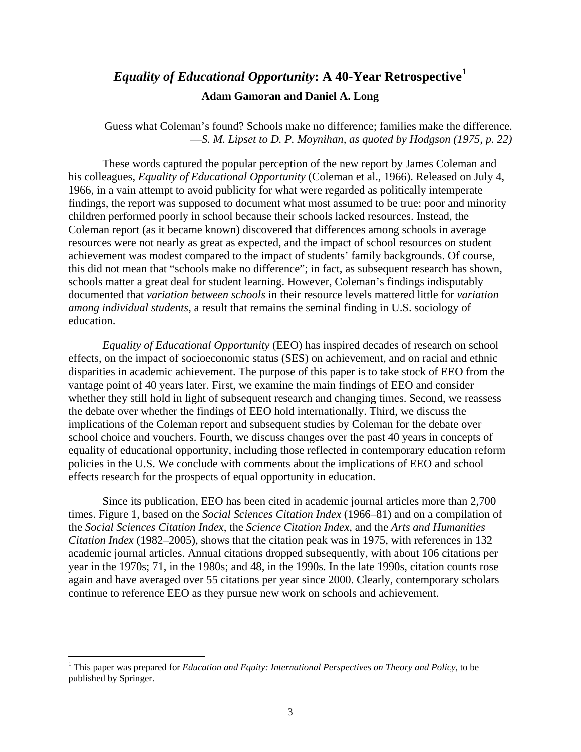# *Equality of Educational Opportunity***: A 40-Year Retrospective[1](#page-2-0) Adam Gamoran and Daniel A. Long**

Guess what Coleman's found? Schools make no difference; families make the difference. —*S. M. Lipset to D. P. Moynihan, as quoted by Hodgson (1975, p. 22)*

These words captured the popular perception of the new report by James Coleman and his colleagues, *Equality of Educational Opportunity* (Coleman et al., 1966). Released on July 4, 1966, in a vain attempt to avoid publicity for what were regarded as politically intemperate findings, the report was supposed to document what most assumed to be true: poor and minority children performed poorly in school because their schools lacked resources. Instead, the Coleman report (as it became known) discovered that differences among schools in average resources were not nearly as great as expected, and the impact of school resources on student achievement was modest compared to the impact of students' family backgrounds. Of course, this did not mean that "schools make no difference"; in fact, as subsequent research has shown, schools matter a great deal for student learning. However, Coleman's findings indisputably documented that *variation between schools* in their resource levels mattered little for *variation among individual students*, a result that remains the seminal finding in U.S. sociology of education.

*Equality of Educational Opportunity* (EEO) has inspired decades of research on school effects, on the impact of socioeconomic status (SES) on achievement, and on racial and ethnic disparities in academic achievement. The purpose of this paper is to take stock of EEO from the vantage point of 40 years later. First, we examine the main findings of EEO and consider whether they still hold in light of subsequent research and changing times. Second, we reassess the debate over whether the findings of EEO hold internationally. Third, we discuss the implications of the Coleman report and subsequent studies by Coleman for the debate over school choice and vouchers. Fourth, we discuss changes over the past 40 years in concepts of equality of educational opportunity, including those reflected in contemporary education reform policies in the U.S. We conclude with comments about the implications of EEO and school effects research for the prospects of equal opportunity in education.

Since its publication, EEO has been cited in academic journal articles more than 2,700 times. Figure 1, based on the *Social Sciences Citation Index* (1966–81) and on a compilation of the *Social Sciences Citation Index*, the *Science Citation Index*, and the *Arts and Humanities Citation Index* (1982–2005), shows that the citation peak was in 1975, with references in 132 academic journal articles. Annual citations dropped subsequently, with about 106 citations per year in the 1970s; 71, in the 1980s; and 48, in the 1990s. In the late 1990s, citation counts rose again and have averaged over 55 citations per year since 2000. Clearly, contemporary scholars continue to reference EEO as they pursue new work on schools and achievement.

 $\overline{a}$ 

<span id="page-2-0"></span><sup>&</sup>lt;sup>1</sup> This paper was prepared for *Education and Equity: International Perspectives on Theory and Policy*, to be published by Springer.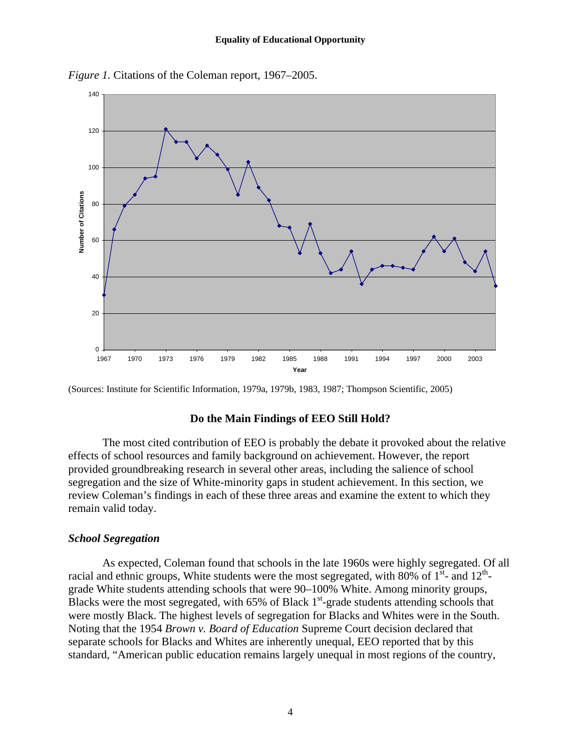



(Sources: Institute for Scientific Information, 1979a, 1979b, 1983, 1987; Thompson Scientific, 2005)

# **Do the Main Findings of EEO Still Hold?**

The most cited contribution of EEO is probably the debate it provoked about the relative effects of school resources and family background on achievement. However, the report provided groundbreaking research in several other areas, including the salience of school segregation and the size of White-minority gaps in student achievement. In this section, we review Coleman's findings in each of these three areas and examine the extent to which they remain valid today.

# *School Segregation*

As expected, Coleman found that schools in the late 1960s were highly segregated. Of all racial and ethnic groups, White students were the most segregated, with 80% of  $1<sup>st</sup>$ - and  $12<sup>th</sup>$ grade White students attending schools that were 90–100% White. Among minority groups, Blacks were the most segregated, with  $65\%$  of Black 1<sup>st</sup>-grade students attending schools that were mostly Black. The highest levels of segregation for Blacks and Whites were in the South. Noting that the 1954 *Brown v. Board of Education* Supreme Court decision declared that separate schools for Blacks and Whites are inherently unequal, EEO reported that by this standard, "American public education remains largely unequal in most regions of the country,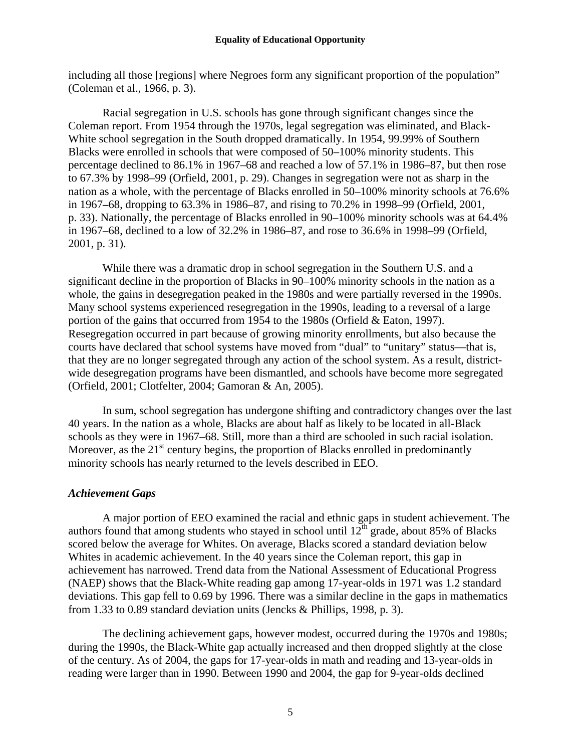including all those [regions] where Negroes form any significant proportion of the population" (Coleman et al., 1966, p. 3).

Racial segregation in U.S. schools has gone through significant changes since the Coleman report. From 1954 through the 1970s, legal segregation was eliminated, and Black-White school segregation in the South dropped dramatically. In 1954, 99.99% of Southern Blacks were enrolled in schools that were composed of 50–100% minority students. This percentage declined to 86.1% in 1967–68 and reached a low of 57.1% in 1986–87, but then rose to 67.3% by 1998–99 (Orfield, 2001, p. 29). Changes in segregation were not as sharp in the nation as a whole, with the percentage of Blacks enrolled in 50–100% minority schools at 76.6% in 1967**–**68, dropping to 63.3% in 1986–87, and rising to 70.2% in 1998–99 (Orfield, 2001, p. 33). Nationally, the percentage of Blacks enrolled in 90–100% minority schools was at 64.4% in 1967–68, declined to a low of 32.2% in 1986–87, and rose to 36.6% in 1998–99 (Orfield, 2001, p. 31).

While there was a dramatic drop in school segregation in the Southern U.S. and a significant decline in the proportion of Blacks in 90–100% minority schools in the nation as a whole, the gains in desegregation peaked in the 1980s and were partially reversed in the 1990s. Many school systems experienced resegregation in the 1990s, leading to a reversal of a large portion of the gains that occurred from 1954 to the 1980s (Orfield & Eaton, 1997). Resegregation occurred in part because of growing minority enrollments, but also because the courts have declared that school systems have moved from "dual" to "unitary" status—that is, that they are no longer segregated through any action of the school system. As a result, districtwide desegregation programs have been dismantled, and schools have become more segregated (Orfield, 2001; Clotfelter, 2004; Gamoran & An, 2005).

In sum, school segregation has undergone shifting and contradictory changes over the last 40 years. In the nation as a whole, Blacks are about half as likely to be located in all-Black schools as they were in 1967–68. Still, more than a third are schooled in such racial isolation. Moreover, as the  $21<sup>st</sup>$  century begins, the proportion of Blacks enrolled in predominantly minority schools has nearly returned to the levels described in EEO.

#### *Achievement Gaps*

A major portion of EEO examined the racial and ethnic gaps in student achievement. The authors found that among students who stayed in school until  $12<sup>th</sup>$  grade, about 85% of Blacks scored below the average for Whites. On average, Blacks scored a standard deviation below Whites in academic achievement. In the 40 years since the Coleman report, this gap in achievement has narrowed. Trend data from the National Assessment of Educational Progress (NAEP) shows that the Black-White reading gap among 17-year-olds in 1971 was 1.2 standard deviations. This gap fell to 0.69 by 1996. There was a similar decline in the gaps in mathematics from 1.33 to 0.89 standard deviation units (Jencks & Phillips, 1998, p. 3).

The declining achievement gaps, however modest, occurred during the 1970s and 1980s; during the 1990s, the Black-White gap actually increased and then dropped slightly at the close of the century. As of 2004, the gaps for 17-year-olds in math and reading and 13-year-olds in reading were larger than in 1990. Between 1990 and 2004, the gap for 9-year-olds declined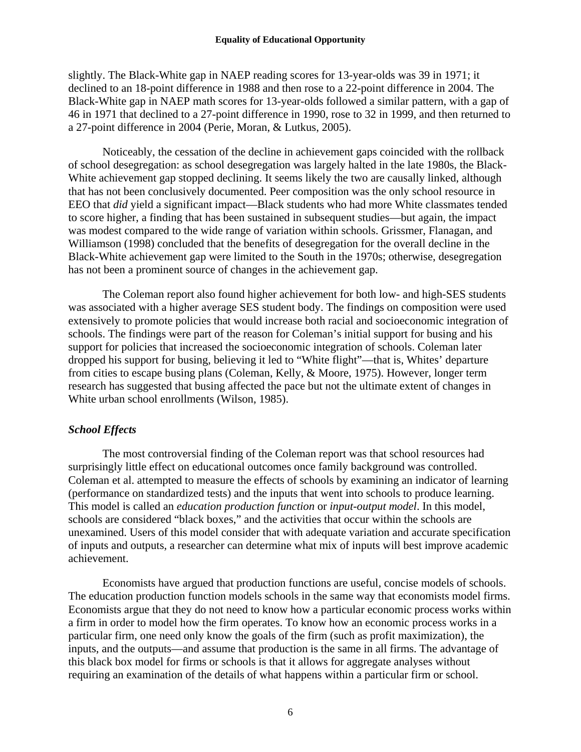slightly. The Black-White gap in NAEP reading scores for 13-year-olds was 39 in 1971; it declined to an 18-point difference in 1988 and then rose to a 22-point difference in 2004. The Black-White gap in NAEP math scores for 13-year-olds followed a similar pattern, with a gap of 46 in 1971 that declined to a 27-point difference in 1990, rose to 32 in 1999, and then returned to a 27-point difference in 2004 (Perie, Moran, & Lutkus, 2005).

Noticeably, the cessation of the decline in achievement gaps coincided with the rollback of school desegregation: as school desegregation was largely halted in the late 1980s, the Black-White achievement gap stopped declining. It seems likely the two are causally linked, although that has not been conclusively documented. Peer composition was the only school resource in EEO that *did* yield a significant impact—Black students who had more White classmates tended to score higher, a finding that has been sustained in subsequent studies—but again, the impact was modest compared to the wide range of variation within schools. Grissmer, Flanagan, and Williamson (1998) concluded that the benefits of desegregation for the overall decline in the Black-White achievement gap were limited to the South in the 1970s; otherwise, desegregation has not been a prominent source of changes in the achievement gap.

The Coleman report also found higher achievement for both low- and high-SES students was associated with a higher average SES student body. The findings on composition were used extensively to promote policies that would increase both racial and socioeconomic integration of schools. The findings were part of the reason for Coleman's initial support for busing and his support for policies that increased the socioeconomic integration of schools. Coleman later dropped his support for busing, believing it led to "White flight"—that is, Whites' departure from cities to escape busing plans (Coleman, Kelly, & Moore, 1975). However, longer term research has suggested that busing affected the pace but not the ultimate extent of changes in White urban school enrollments (Wilson, 1985).

#### *School Effects*

The most controversial finding of the Coleman report was that school resources had surprisingly little effect on educational outcomes once family background was controlled. Coleman et al. attempted to measure the effects of schools by examining an indicator of learning (performance on standardized tests) and the inputs that went into schools to produce learning. This model is called an *education production function* or *input-output model*. In this model, schools are considered "black boxes," and the activities that occur within the schools are unexamined. Users of this model consider that with adequate variation and accurate specification of inputs and outputs, a researcher can determine what mix of inputs will best improve academic achievement.

Economists have argued that production functions are useful, concise models of schools. The education production function models schools in the same way that economists model firms. Economists argue that they do not need to know how a particular economic process works within a firm in order to model how the firm operates. To know how an economic process works in a particular firm, one need only know the goals of the firm (such as profit maximization), the inputs, and the outputs—and assume that production is the same in all firms. The advantage of this black box model for firms or schools is that it allows for aggregate analyses without requiring an examination of the details of what happens within a particular firm or school.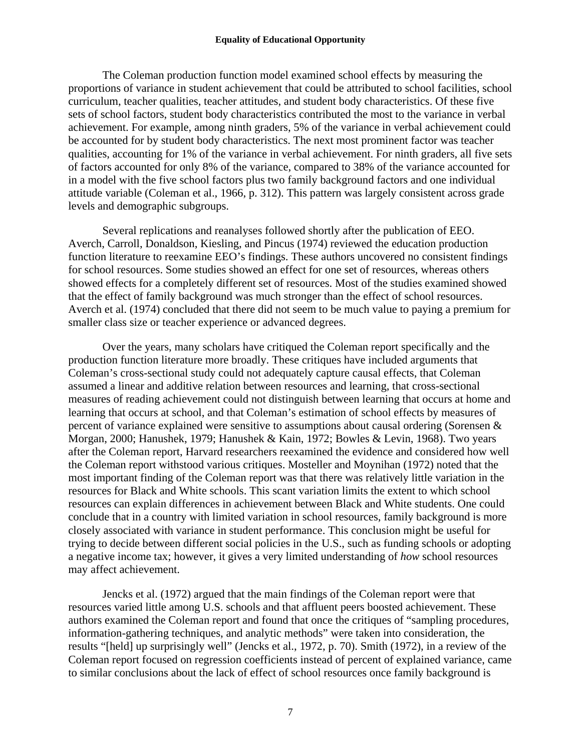The Coleman production function model examined school effects by measuring the proportions of variance in student achievement that could be attributed to school facilities, school curriculum, teacher qualities, teacher attitudes, and student body characteristics. Of these five sets of school factors, student body characteristics contributed the most to the variance in verbal achievement. For example, among ninth graders, 5% of the variance in verbal achievement could be accounted for by student body characteristics. The next most prominent factor was teacher qualities, accounting for 1% of the variance in verbal achievement. For ninth graders, all five sets of factors accounted for only 8% of the variance, compared to 38% of the variance accounted for in a model with the five school factors plus two family background factors and one individual attitude variable (Coleman et al., 1966, p. 312). This pattern was largely consistent across grade levels and demographic subgroups.

Several replications and reanalyses followed shortly after the publication of EEO. Averch, Carroll, Donaldson, Kiesling, and Pincus (1974) reviewed the education production function literature to reexamine EEO's findings. These authors uncovered no consistent findings for school resources. Some studies showed an effect for one set of resources, whereas others showed effects for a completely different set of resources. Most of the studies examined showed that the effect of family background was much stronger than the effect of school resources. Averch et al. (1974) concluded that there did not seem to be much value to paying a premium for smaller class size or teacher experience or advanced degrees.

Over the years, many scholars have critiqued the Coleman report specifically and the production function literature more broadly. These critiques have included arguments that Coleman's cross-sectional study could not adequately capture causal effects, that Coleman assumed a linear and additive relation between resources and learning, that cross-sectional measures of reading achievement could not distinguish between learning that occurs at home and learning that occurs at school, and that Coleman's estimation of school effects by measures of percent of variance explained were sensitive to assumptions about causal ordering (Sorensen & Morgan, 2000; Hanushek, 1979; Hanushek & Kain, 1972; Bowles & Levin, 1968). Two years after the Coleman report, Harvard researchers reexamined the evidence and considered how well the Coleman report withstood various critiques. Mosteller and Moynihan (1972) noted that the most important finding of the Coleman report was that there was relatively little variation in the resources for Black and White schools. This scant variation limits the extent to which school resources can explain differences in achievement between Black and White students. One could conclude that in a country with limited variation in school resources, family background is more closely associated with variance in student performance. This conclusion might be useful for trying to decide between different social policies in the U.S., such as funding schools or adopting a negative income tax; however, it gives a very limited understanding of *how* school resources may affect achievement.

Jencks et al. (1972) argued that the main findings of the Coleman report were that resources varied little among U.S. schools and that affluent peers boosted achievement. These authors examined the Coleman report and found that once the critiques of "sampling procedures, information-gathering techniques, and analytic methods" were taken into consideration, the results "[held] up surprisingly well" (Jencks et al., 1972, p. 70). Smith (1972), in a review of the Coleman report focused on regression coefficients instead of percent of explained variance, came to similar conclusions about the lack of effect of school resources once family background is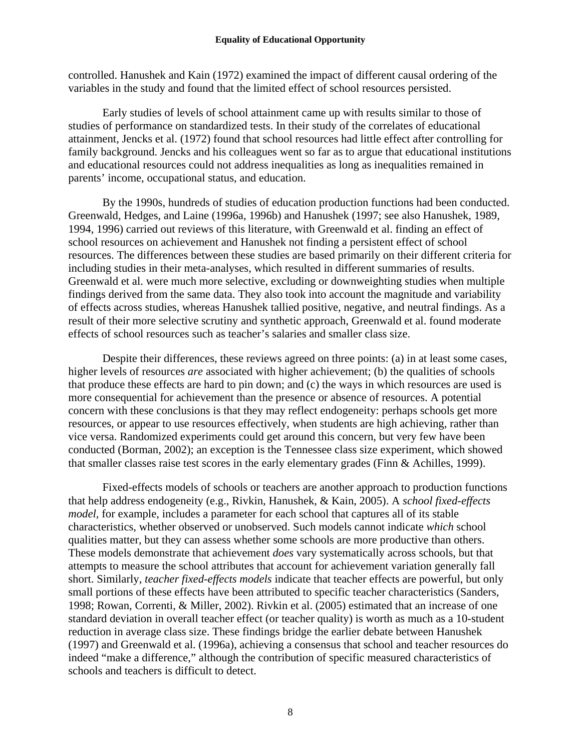controlled. Hanushek and Kain (1972) examined the impact of different causal ordering of the variables in the study and found that the limited effect of school resources persisted.

Early studies of levels of school attainment came up with results similar to those of studies of performance on standardized tests. In their study of the correlates of educational attainment, Jencks et al. (1972) found that school resources had little effect after controlling for family background. Jencks and his colleagues went so far as to argue that educational institutions and educational resources could not address inequalities as long as inequalities remained in parents' income, occupational status, and education.

By the 1990s, hundreds of studies of education production functions had been conducted. Greenwald, Hedges, and Laine (1996a, 1996b) and Hanushek (1997; see also Hanushek, 1989, 1994, 1996) carried out reviews of this literature, with Greenwald et al. finding an effect of school resources on achievement and Hanushek not finding a persistent effect of school resources. The differences between these studies are based primarily on their different criteria for including studies in their meta-analyses, which resulted in different summaries of results. Greenwald et al. were much more selective, excluding or downweighting studies when multiple findings derived from the same data. They also took into account the magnitude and variability of effects across studies, whereas Hanushek tallied positive, negative, and neutral findings. As a result of their more selective scrutiny and synthetic approach, Greenwald et al. found moderate effects of school resources such as teacher's salaries and smaller class size.

Despite their differences, these reviews agreed on three points: (a) in at least some cases, higher levels of resources *are* associated with higher achievement; (b) the qualities of schools that produce these effects are hard to pin down; and (c) the ways in which resources are used is more consequential for achievement than the presence or absence of resources. A potential concern with these conclusions is that they may reflect endogeneity: perhaps schools get more resources, or appear to use resources effectively, when students are high achieving, rather than vice versa. Randomized experiments could get around this concern, but very few have been conducted (Borman, 2002); an exception is the Tennessee class size experiment, which showed that smaller classes raise test scores in the early elementary grades (Finn & Achilles, 1999).

Fixed-effects models of schools or teachers are another approach to production functions that help address endogeneity (e.g., Rivkin, Hanushek, & Kain, 2005). A *school fixed-effects model,* for example, includes a parameter for each school that captures all of its stable characteristics, whether observed or unobserved. Such models cannot indicate *which* school qualities matter, but they can assess whether some schools are more productive than others. These models demonstrate that achievement *does* vary systematically across schools, but that attempts to measure the school attributes that account for achievement variation generally fall short. Similarly, *teacher fixed-effects models* indicate that teacher effects are powerful, but only small portions of these effects have been attributed to specific teacher characteristics (Sanders, 1998; Rowan, Correnti, & Miller, 2002). Rivkin et al. (2005) estimated that an increase of one standard deviation in overall teacher effect (or teacher quality) is worth as much as a 10-student reduction in average class size. These findings bridge the earlier debate between Hanushek (1997) and Greenwald et al. (1996a), achieving a consensus that school and teacher resources do indeed "make a difference," although the contribution of specific measured characteristics of schools and teachers is difficult to detect.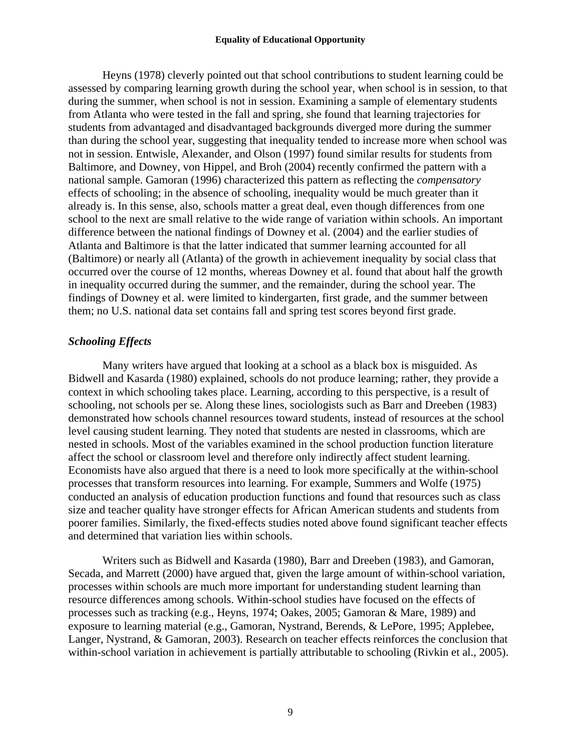Heyns (1978) cleverly pointed out that school contributions to student learning could be assessed by comparing learning growth during the school year, when school is in session, to that during the summer, when school is not in session. Examining a sample of elementary students from Atlanta who were tested in the fall and spring, she found that learning trajectories for students from advantaged and disadvantaged backgrounds diverged more during the summer than during the school year, suggesting that inequality tended to increase more when school was not in session. Entwisle, Alexander, and Olson (1997) found similar results for students from Baltimore, and Downey, von Hippel, and Broh (2004) recently confirmed the pattern with a national sample. Gamoran (1996) characterized this pattern as reflecting the *compensatory* effects of schooling; in the absence of schooling, inequality would be much greater than it already is. In this sense, also, schools matter a great deal, even though differences from one school to the next are small relative to the wide range of variation within schools. An important difference between the national findings of Downey et al. (2004) and the earlier studies of Atlanta and Baltimore is that the latter indicated that summer learning accounted for all (Baltimore) or nearly all (Atlanta) of the growth in achievement inequality by social class that occurred over the course of 12 months, whereas Downey et al. found that about half the growth in inequality occurred during the summer, and the remainder, during the school year. The findings of Downey et al. were limited to kindergarten, first grade, and the summer between them; no U.S. national data set contains fall and spring test scores beyond first grade.

#### *Schooling Effects*

Many writers have argued that looking at a school as a black box is misguided. As Bidwell and Kasarda (1980) explained, schools do not produce learning; rather, they provide a context in which schooling takes place. Learning, according to this perspective, is a result of schooling, not schools per se. Along these lines, sociologists such as Barr and Dreeben (1983) demonstrated how schools channel resources toward students, instead of resources at the school level causing student learning. They noted that students are nested in classrooms, which are nested in schools. Most of the variables examined in the school production function literature affect the school or classroom level and therefore only indirectly affect student learning. Economists have also argued that there is a need to look more specifically at the within-school processes that transform resources into learning. For example, Summers and Wolfe (1975) conducted an analysis of education production functions and found that resources such as class size and teacher quality have stronger effects for African American students and students from poorer families. Similarly, the fixed-effects studies noted above found significant teacher effects and determined that variation lies within schools.

Writers such as Bidwell and Kasarda (1980), Barr and Dreeben (1983), and Gamoran, Secada, and Marrett (2000) have argued that, given the large amount of within-school variation, processes within schools are much more important for understanding student learning than resource differences among schools. Within-school studies have focused on the effects of processes such as tracking (e.g., Heyns, 1974; Oakes, 2005; Gamoran & Mare, 1989) and exposure to learning material (e.g., Gamoran, Nystrand, Berends, & LePore, 1995; Applebee, Langer, Nystrand, & Gamoran, 2003). Research on teacher effects reinforces the conclusion that within-school variation in achievement is partially attributable to schooling (Rivkin et al., 2005).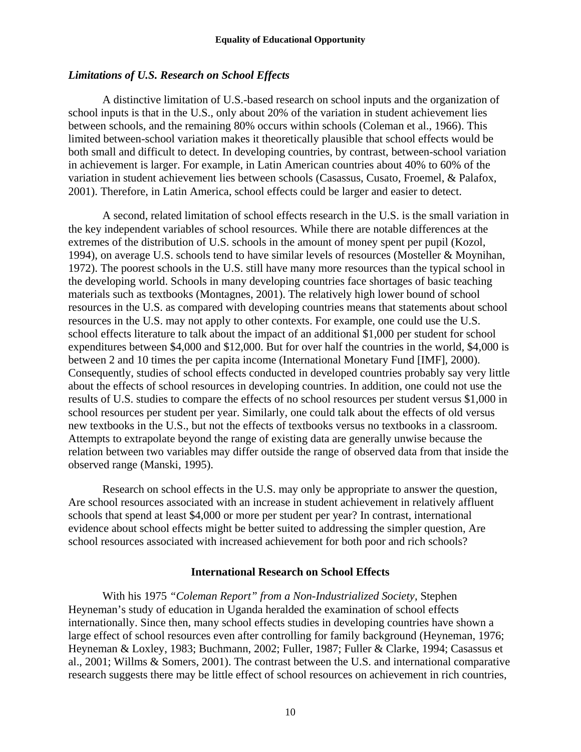# *Limitations of U.S. Research on School Effects*

A distinctive limitation of U.S.-based research on school inputs and the organization of school inputs is that in the U.S., only about 20% of the variation in student achievement lies between schools, and the remaining 80% occurs within schools (Coleman et al., 1966). This limited between-school variation makes it theoretically plausible that school effects would be both small and difficult to detect. In developing countries, by contrast, between-school variation in achievement is larger. For example, in Latin American countries about 40% to 60% of the variation in student achievement lies between schools (Casassus, Cusato, Froemel, & Palafox, 2001). Therefore, in Latin America, school effects could be larger and easier to detect.

A second, related limitation of school effects research in the U.S. is the small variation in the key independent variables of school resources. While there are notable differences at the extremes of the distribution of U.S. schools in the amount of money spent per pupil (Kozol, 1994), on average U.S. schools tend to have similar levels of resources (Mosteller & Moynihan, 1972). The poorest schools in the U.S. still have many more resources than the typical school in the developing world. Schools in many developing countries face shortages of basic teaching materials such as textbooks (Montagnes, 2001). The relatively high lower bound of school resources in the U.S. as compared with developing countries means that statements about school resources in the U.S. may not apply to other contexts. For example, one could use the U.S. school effects literature to talk about the impact of an additional \$1,000 per student for school expenditures between \$4,000 and \$12,000. But for over half the countries in the world, \$4,000 is between 2 and 10 times the per capita income (International Monetary Fund [IMF], 2000). Consequently, studies of school effects conducted in developed countries probably say very little about the effects of school resources in developing countries. In addition, one could not use the results of U.S. studies to compare the effects of no school resources per student versus \$1,000 in school resources per student per year. Similarly, one could talk about the effects of old versus new textbooks in the U.S., but not the effects of textbooks versus no textbooks in a classroom. Attempts to extrapolate beyond the range of existing data are generally unwise because the relation between two variables may differ outside the range of observed data from that inside the observed range (Manski, 1995).

Research on school effects in the U.S. may only be appropriate to answer the question, Are school resources associated with an increase in student achievement in relatively affluent schools that spend at least \$4,000 or more per student per year? In contrast, international evidence about school effects might be better suited to addressing the simpler question, Are school resources associated with increased achievement for both poor and rich schools?

#### **International Research on School Effects**

With his 1975 *"Coleman Report" from a Non-Industrialized Society*, Stephen Heyneman's study of education in Uganda heralded the examination of school effects internationally. Since then, many school effects studies in developing countries have shown a large effect of school resources even after controlling for family background (Heyneman, 1976; Heyneman & Loxley, 1983; Buchmann, 2002; Fuller, 1987; Fuller & Clarke, 1994; Casassus et al., 2001; Willms & Somers, 2001). The contrast between the U.S. and international comparative research suggests there may be little effect of school resources on achievement in rich countries,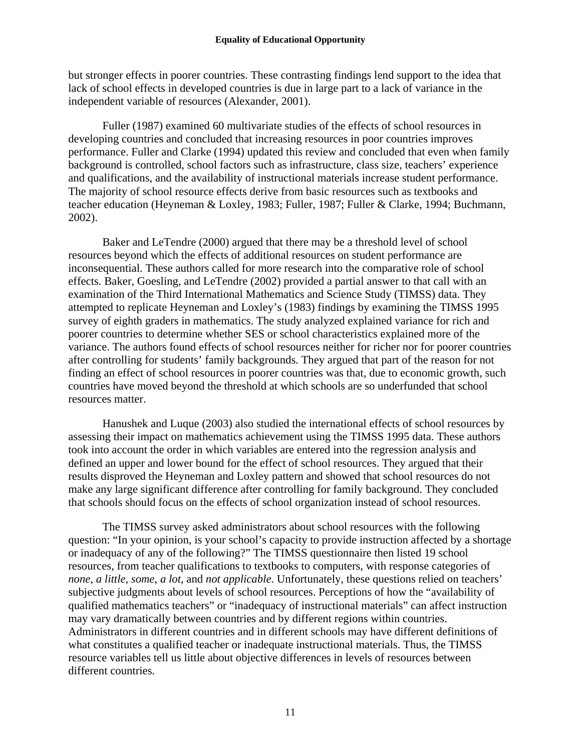but stronger effects in poorer countries. These contrasting findings lend support to the idea that lack of school effects in developed countries is due in large part to a lack of variance in the independent variable of resources (Alexander, 2001).

Fuller (1987) examined 60 multivariate studies of the effects of school resources in developing countries and concluded that increasing resources in poor countries improves performance. Fuller and Clarke (1994) updated this review and concluded that even when family background is controlled, school factors such as infrastructure, class size, teachers' experience and qualifications, and the availability of instructional materials increase student performance. The majority of school resource effects derive from basic resources such as textbooks and teacher education (Heyneman & Loxley, 1983; Fuller, 1987; Fuller & Clarke, 1994; Buchmann, 2002).

Baker and LeTendre (2000) argued that there may be a threshold level of school resources beyond which the effects of additional resources on student performance are inconsequential. These authors called for more research into the comparative role of school effects. Baker, Goesling, and LeTendre (2002) provided a partial answer to that call with an examination of the Third International Mathematics and Science Study (TIMSS) data. They attempted to replicate Heyneman and Loxley's (1983) findings by examining the TIMSS 1995 survey of eighth graders in mathematics. The study analyzed explained variance for rich and poorer countries to determine whether SES or school characteristics explained more of the variance. The authors found effects of school resources neither for richer nor for poorer countries after controlling for students' family backgrounds. They argued that part of the reason for not finding an effect of school resources in poorer countries was that, due to economic growth, such countries have moved beyond the threshold at which schools are so underfunded that school resources matter.

Hanushek and Luque (2003) also studied the international effects of school resources by assessing their impact on mathematics achievement using the TIMSS 1995 data. These authors took into account the order in which variables are entered into the regression analysis and defined an upper and lower bound for the effect of school resources. They argued that their results disproved the Heyneman and Loxley pattern and showed that school resources do not make any large significant difference after controlling for family background. They concluded that schools should focus on the effects of school organization instead of school resources.

The TIMSS survey asked administrators about school resources with the following question: "In your opinion, is your school's capacity to provide instruction affected by a shortage or inadequacy of any of the following?" The TIMSS questionnaire then listed 19 school resources, from teacher qualifications to textbooks to computers, with response categories of *none*, *a little*, *some*, *a lot*, and *not applicable*. Unfortunately, these questions relied on teachers' subjective judgments about levels of school resources. Perceptions of how the "availability of qualified mathematics teachers" or "inadequacy of instructional materials" can affect instruction may vary dramatically between countries and by different regions within countries. Administrators in different countries and in different schools may have different definitions of what constitutes a qualified teacher or inadequate instructional materials. Thus, the TIMSS resource variables tell us little about objective differences in levels of resources between different countries.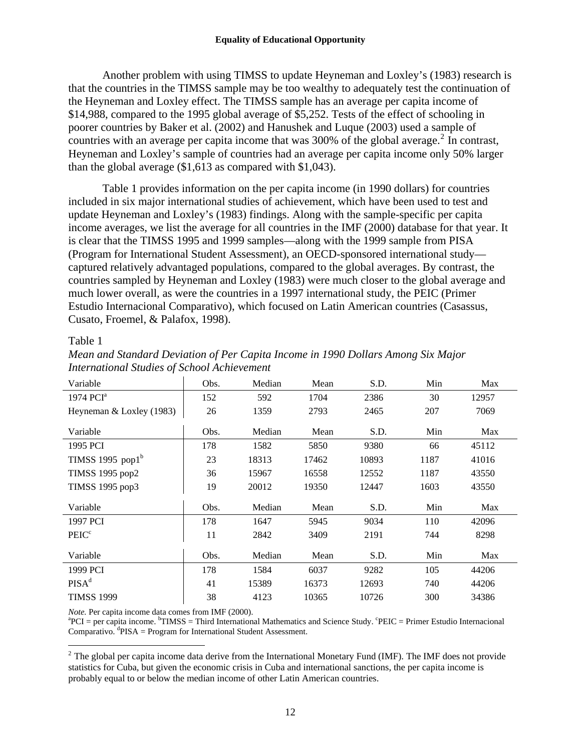Another problem with using TIMSS to update Heyneman and Loxley's (1983) research is that the countries in the TIMSS sample may be too wealthy to adequately test the continuation of the Heyneman and Loxley effect. The TIMSS sample has an average per capita income of \$14,988, compared to the 1995 global average of \$5,252. Tests of the effect of schooling in poorer countries by Baker et al. (2002) and Hanushek and Luque (2003) used a sample of countries with an average per capita income that was  $300\%$  of the global average.<sup>[2](#page-11-0)</sup> In contrast, Heyneman and Loxley's sample of countries had an average per capita income only 50% larger than the global average (\$1,613 as compared with \$1,043).

Table 1 provides information on the per capita income (in 1990 dollars) for countries included in six major international studies of achievement, which have been used to test and update Heyneman and Loxley's (1983) findings. Along with the sample-specific per capita income averages, we list the average for all countries in the IMF (2000) database for that year. It is clear that the TIMSS 1995 and 1999 samples—along with the 1999 sample from PISA (Program for International Student Assessment), an OECD-sponsored international study captured relatively advantaged populations, compared to the global averages. By contrast, the countries sampled by Heyneman and Loxley (1983) were much closer to the global average and much lower overall, as were the countries in a 1997 international study, the PEIC (Primer Estudio Internacional Comparativo), which focused on Latin American countries (Casassus, Cusato, Froemel, & Palafox, 1998).

#### Table 1

 $\overline{a}$ 

| Mean and Standard Deviation of Per Capita Income in 1990 Dollars Among Six Major |
|----------------------------------------------------------------------------------|
| <b>International Studies of School Achievement</b>                               |

| Variable                 | Obs. | Median | Mean  | S.D.  | Min  | Max   |
|--------------------------|------|--------|-------|-------|------|-------|
| 1974 PCI <sup>a</sup>    | 152  | 592    | 1704  | 2386  | 30   | 12957 |
| Heyneman & Loxley (1983) | 26   | 1359   | 2793  | 2465  | 207  | 7069  |
| Variable                 | Obs. | Median | Mean  | S.D.  | Min  | Max   |
| 1995 PCI                 | 178  | 1582   | 5850  | 9380  | 66   | 45112 |
| TIMSS 1995 pop1 $b$      | 23   | 18313  | 17462 | 10893 | 1187 | 41016 |
| TIMSS 1995 pop2          | 36   | 15967  | 16558 | 12552 | 1187 | 43550 |
| TIMSS 1995 pop3          | 19   | 20012  | 19350 | 12447 | 1603 | 43550 |
| Variable                 | Obs. | Median | Mean  | S.D.  | Min  | Max   |
| 1997 PCI                 | 178  | 1647   | 5945  | 9034  | 110  | 42096 |
| <b>PEIC<sup>c</sup></b>  | 11   | 2842   | 3409  | 2191  | 744  | 8298  |
| Variable                 | Obs. | Median | Mean  | S.D.  | Min  | Max   |
| 1999 PCI                 | 178  | 1584   | 6037  | 9282  | 105  | 44206 |
| PISA <sup>d</sup>        | 41   | 15389  | 16373 | 12693 | 740  | 44206 |
| <b>TIMSS 1999</b>        | 38   | 4123   | 10365 | 10726 | 300  | 34386 |

*Note.* Per capita income data comes from IMF (2000).

PCI = per capita income. <sup>b</sup>TIMSS = Third International Mathematics and Science Study. °PEIC = Primer Estudio Internacional Comparativo.  $d$ PISA = Program for International Student Assessment.

<span id="page-11-0"></span><sup>&</sup>lt;sup>2</sup> The global per capita income data derive from the International Monetary Fund (IMF). The IMF does not provide statistics for Cuba, but given the economic crisis in Cuba and international sanctions, the per capita income is probably equal to or below the median income of other Latin American countries.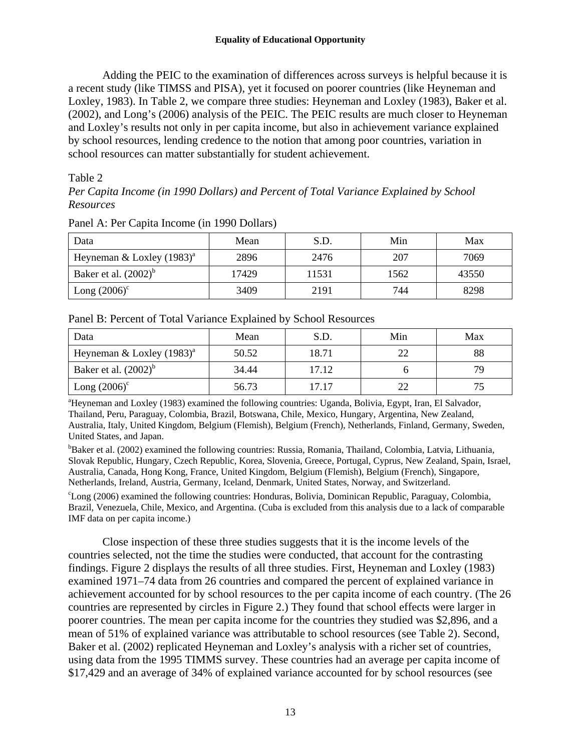Adding the PEIC to the examination of differences across surveys is helpful because it is a recent study (like TIMSS and PISA), yet it focused on poorer countries (like Heyneman and Loxley, 1983). In Table 2, we compare three studies: Heyneman and Loxley (1983), Baker et al. (2002), and Long's (2006) analysis of the PEIC. The PEIC results are much closer to Heyneman and Loxley's results not only in per capita income, but also in achievement variance explained by school resources, lending credence to the notion that among poor countries, variation in school resources can matter substantially for student achievement.

# Table 2

*Per Capita Income (in 1990 Dollars) and Percent of Total Variance Explained by School Resources* 

| Data                           | Mean  | S.D.  | Min  | Max   |
|--------------------------------|-------|-------|------|-------|
| Heyneman & Loxley $(1983)^{a}$ | 2896  | 2476  | 207  | 7069  |
| Baker et al. $(2002)^b$        | 17429 | 11531 | 1562 | 43550 |
| Long $(2006)^c$                | 3409  | 2191  | 744  | 8298  |

## Panel A: Per Capita Income (in 1990 Dollars)

|  |  | Panel B: Percent of Total Variance Explained by School Resources |  |  |
|--|--|------------------------------------------------------------------|--|--|
|  |  |                                                                  |  |  |

| Data                           | Mean  | S.D.  | Min | Max |
|--------------------------------|-------|-------|-----|-----|
| Heyneman & Loxley $(1983)^{a}$ | 50.52 | 18.71 | 22  | 88  |
| Baker et al. $(2002)^b$        | 34.44 | 17.12 |     | 70  |
| Long $(2006)^c$                | 56.73 | 17 17 | 22  |     |

<sup>a</sup>Heyneman and Loxley (1983) examined the following countries: Uganda, Bolivia, Egypt, Iran, El Salvador, Thailand, Peru, Paraguay, Colombia, Brazil, Botswana, Chile, Mexico, Hungary, Argentina, New Zealand, Australia, Italy, United Kingdom, Belgium (Flemish), Belgium (French), Netherlands, Finland, Germany, Sweden, United States, and Japan.

<sup>b</sup>Baker et al. (2002) examined the following countries: Russia, Romania, Thailand, Colombia, Latvia, Lithuania, Slovak Republic, Hungary, Czech Republic, Korea, Slovenia, Greece, Portugal, Cyprus, New Zealand, Spain, Israel, Australia, Canada, Hong Kong, France, United Kingdom, Belgium (Flemish), Belgium (French), Singapore, Netherlands, Ireland, Austria, Germany, Iceland, Denmark, United States, Norway, and Switzerland. c

Long (2006) examined the following countries: Honduras, Bolivia, Dominican Republic, Paraguay, Colombia, Brazil, Venezuela, Chile, Mexico, and Argentina. (Cuba is excluded from this analysis due to a lack of comparable IMF data on per capita income.)

Close inspection of these three studies suggests that it is the income levels of the countries selected, not the time the studies were conducted, that account for the contrasting findings. Figure 2 displays the results of all three studies. First, Heyneman and Loxley (1983) examined 1971–74 data from 26 countries and compared the percent of explained variance in achievement accounted for by school resources to the per capita income of each country. (The 26 countries are represented by circles in Figure 2.) They found that school effects were larger in poorer countries. The mean per capita income for the countries they studied was \$2,896, and a mean of 51% of explained variance was attributable to school resources (see Table 2). Second, Baker et al. (2002) replicated Heyneman and Loxley's analysis with a richer set of countries, using data from the 1995 TIMMS survey. These countries had an average per capita income of \$17,429 and an average of 34% of explained variance accounted for by school resources (see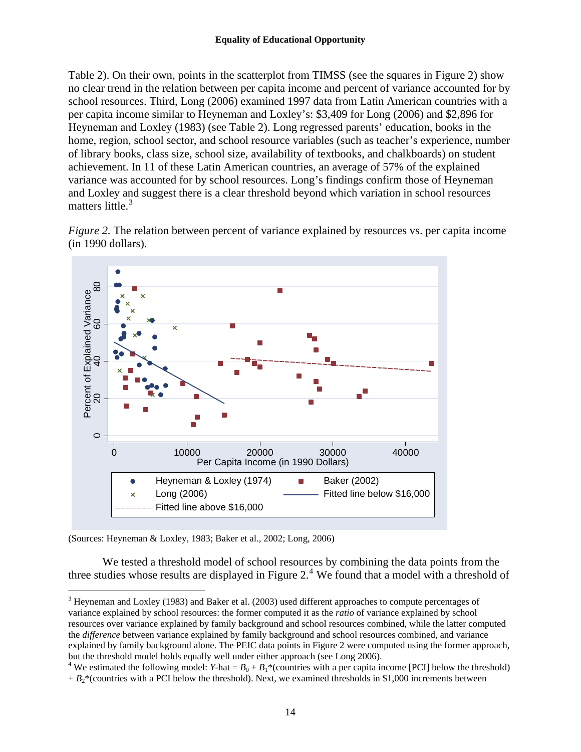Table 2). On their own, points in the scatterplot from TIMSS (see the squares in Figure 2) show no clear trend in the relation between per capita income and percent of variance accounted for by school resources. Third, Long (2006) examined 1997 data from Latin American countries with a per capita income similar to Heyneman and Loxley's: \$3,409 for Long (2006) and \$2,896 for Heyneman and Loxley (1983) (see Table 2). Long regressed parents' education, books in the home, region, school sector, and school resource variables (such as teacher's experience, number of library books, class size, school size, availability of textbooks, and chalkboards) on student achievement. In 11 of these Latin American countries, an average of 57% of the explained variance was accounted for by school resources. Long's findings confirm those of Heyneman and Loxley and suggest there is a clear threshold beyond which variation in school resources matters little.<sup>[3](#page-13-0)</sup>

*Figure 2.* The relation between percent of variance explained by resources vs. per capita income (in 1990 dollars).



(Sources: Heyneman & Loxley, 1983; Baker et al., 2002; Long, 2006)

 $\overline{a}$ 

We tested a threshold model of school resources by combining the data points from the three studies whose results are displayed in Figure  $2<sup>4</sup>$  $2<sup>4</sup>$  $2<sup>4</sup>$  We found that a model with a threshold of

<span id="page-13-0"></span> $3$  Heyneman and Loxley (1983) and Baker et al. (2003) used different approaches to compute percentages of variance explained by school resources: the former computed it as the *ratio* of variance explained by school resources over variance explained by family background and school resources combined, while the latter computed the *difference* between variance explained by family background and school resources combined, and variance explained by family background alone. The PEIC data points in Figure 2 were computed using the former approach, but the threshold model holds equally well under either approach (see Long 2006).

<span id="page-13-1"></span><sup>&</sup>lt;sup>4</sup> We estimated the following model: *Y*-hat =  $B_0 + B_1$ <sup>\*</sup>(countries with a per capita income [PCI] below the threshold)

 $+ B_2^*$  (countries with a PCI below the threshold). Next, we examined thresholds in \$1,000 increments between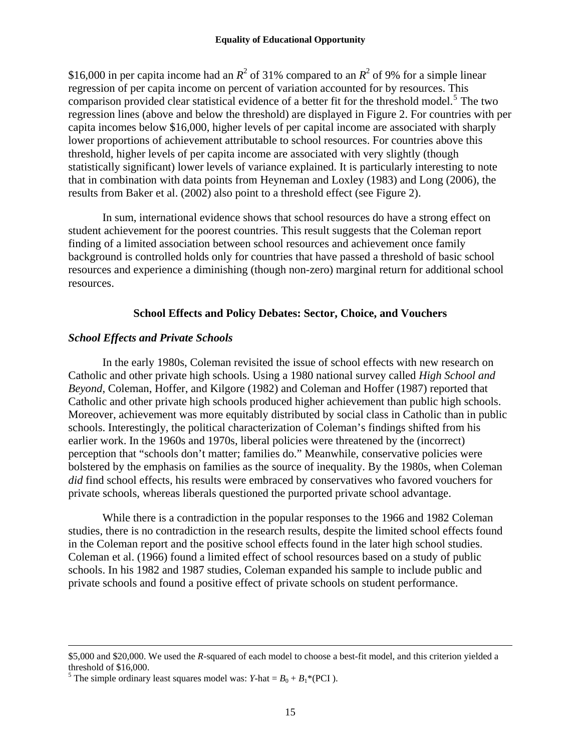\$16,000 in per capita income had an  $R^2$  of 31% compared to an  $R^2$  of 9% for a simple linear regression of per capita income on percent of variation accounted for by resources. This comparison provided clear statistical evidence of a better fit for the threshold model.<sup>[5](#page-14-0)</sup> The two regression lines (above and below the threshold) are displayed in Figure 2. For countries with per capita incomes below \$16,000, higher levels of per capital income are associated with sharply lower proportions of achievement attributable to school resources. For countries above this threshold, higher levels of per capita income are associated with very slightly (though statistically significant) lower levels of variance explained. It is particularly interesting to note that in combination with data points from Heyneman and Loxley (1983) and Long (2006), the results from Baker et al. (2002) also point to a threshold effect (see Figure 2).

In sum, international evidence shows that school resources do have a strong effect on student achievement for the poorest countries. This result suggests that the Coleman report finding of a limited association between school resources and achievement once family background is controlled holds only for countries that have passed a threshold of basic school resources and experience a diminishing (though non-zero) marginal return for additional school resources.

# **School Effects and Policy Debates: Sector, Choice, and Vouchers**

## *School Effects and Private Schools*

In the early 1980s, Coleman revisited the issue of school effects with new research on Catholic and other private high schools. Using a 1980 national survey called *High School and Beyond*, Coleman, Hoffer, and Kilgore (1982) and Coleman and Hoffer (1987) reported that Catholic and other private high schools produced higher achievement than public high schools. Moreover, achievement was more equitably distributed by social class in Catholic than in public schools. Interestingly, the political characterization of Coleman's findings shifted from his earlier work. In the 1960s and 1970s, liberal policies were threatened by the (incorrect) perception that "schools don't matter; families do." Meanwhile, conservative policies were bolstered by the emphasis on families as the source of inequality. By the 1980s, when Coleman *did* find school effects, his results were embraced by conservatives who favored vouchers for private schools, whereas liberals questioned the purported private school advantage.

While there is a contradiction in the popular responses to the 1966 and 1982 Coleman studies, there is no contradiction in the research results, despite the limited school effects found in the Coleman report and the positive school effects found in the later high school studies. Coleman et al. (1966) found a limited effect of school resources based on a study of public schools. In his 1982 and 1987 studies, Coleman expanded his sample to include public and private schools and found a positive effect of private schools on student performance.

 <sup>\$5,000</sup> and \$20,000. We used the *R*-squared of each model to choose a best-fit model, and this criterion yielded a threshold of \$16,000.

<span id="page-14-0"></span><sup>&</sup>lt;sup>5</sup> The simple ordinary least squares model was:  $Y$ -hat =  $B_0 + B_1^*$  (PCI).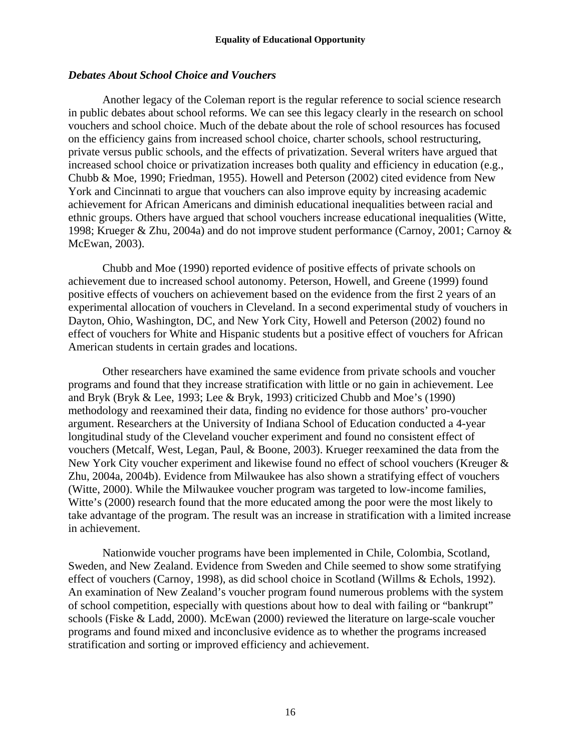#### *Debates About School Choice and Vouchers*

Another legacy of the Coleman report is the regular reference to social science research in public debates about school reforms. We can see this legacy clearly in the research on school vouchers and school choice. Much of the debate about the role of school resources has focused on the efficiency gains from increased school choice, charter schools, school restructuring, private versus public schools, and the effects of privatization. Several writers have argued that increased school choice or privatization increases both quality and efficiency in education (e.g., Chubb & Moe, 1990; Friedman, 1955). Howell and Peterson (2002) cited evidence from New York and Cincinnati to argue that vouchers can also improve equity by increasing academic achievement for African Americans and diminish educational inequalities between racial and ethnic groups. Others have argued that school vouchers increase educational inequalities (Witte, 1998; Krueger & Zhu, 2004a) and do not improve student performance (Carnoy, 2001; Carnoy & McEwan, 2003).

Chubb and Moe (1990) reported evidence of positive effects of private schools on achievement due to increased school autonomy. Peterson, Howell, and Greene (1999) found positive effects of vouchers on achievement based on the evidence from the first 2 years of an experimental allocation of vouchers in Cleveland. In a second experimental study of vouchers in Dayton, Ohio, Washington, DC, and New York City, Howell and Peterson (2002) found no effect of vouchers for White and Hispanic students but a positive effect of vouchers for African American students in certain grades and locations.

Other researchers have examined the same evidence from private schools and voucher programs and found that they increase stratification with little or no gain in achievement. Lee and Bryk (Bryk & Lee, 1993; Lee & Bryk, 1993) criticized Chubb and Moe's (1990) methodology and reexamined their data, finding no evidence for those authors' pro-voucher argument. Researchers at the University of Indiana School of Education conducted a 4-year longitudinal study of the Cleveland voucher experiment and found no consistent effect of vouchers (Metcalf, West, Legan, Paul, & Boone, 2003). Krueger reexamined the data from the New York City voucher experiment and likewise found no effect of school vouchers (Kreuger & Zhu, 2004a, 2004b). Evidence from Milwaukee has also shown a stratifying effect of vouchers (Witte, 2000). While the Milwaukee voucher program was targeted to low-income families, Witte's (2000) research found that the more educated among the poor were the most likely to take advantage of the program. The result was an increase in stratification with a limited increase in achievement.

Nationwide voucher programs have been implemented in Chile, Colombia, Scotland, Sweden, and New Zealand. Evidence from Sweden and Chile seemed to show some stratifying effect of vouchers (Carnoy, 1998), as did school choice in Scotland (Willms & Echols, 1992). An examination of New Zealand's voucher program found numerous problems with the system of school competition, especially with questions about how to deal with failing or "bankrupt" schools (Fiske & Ladd, 2000). McEwan (2000) reviewed the literature on large-scale voucher programs and found mixed and inconclusive evidence as to whether the programs increased stratification and sorting or improved efficiency and achievement.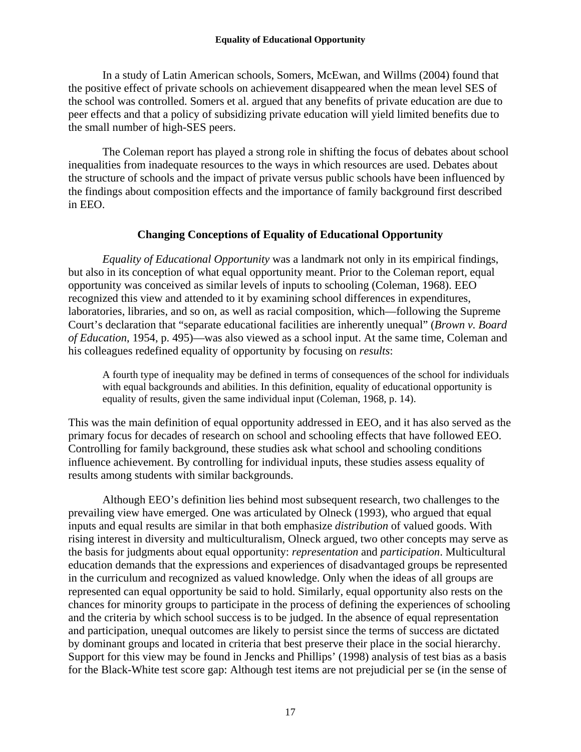In a study of Latin American schools, Somers, McEwan, and Willms (2004) found that the positive effect of private schools on achievement disappeared when the mean level SES of the school was controlled. Somers et al. argued that any benefits of private education are due to peer effects and that a policy of subsidizing private education will yield limited benefits due to the small number of high-SES peers.

The Coleman report has played a strong role in shifting the focus of debates about school inequalities from inadequate resources to the ways in which resources are used. Debates about the structure of schools and the impact of private versus public schools have been influenced by the findings about composition effects and the importance of family background first described in EEO.

#### **Changing Conceptions of Equality of Educational Opportunity**

*Equality of Educational Opportunity* was a landmark not only in its empirical findings, but also in its conception of what equal opportunity meant. Prior to the Coleman report, equal opportunity was conceived as similar levels of inputs to schooling (Coleman, 1968). EEO recognized this view and attended to it by examining school differences in expenditures, laboratories, libraries, and so on, as well as racial composition, which—following the Supreme Court's declaration that "separate educational facilities are inherently unequal" (*Brown v. Board of Education*, 1954, p. 495)—was also viewed as a school input. At the same time, Coleman and his colleagues redefined equality of opportunity by focusing on *results*:

A fourth type of inequality may be defined in terms of consequences of the school for individuals with equal backgrounds and abilities. In this definition, equality of educational opportunity is equality of results, given the same individual input (Coleman, 1968, p. 14).

This was the main definition of equal opportunity addressed in EEO, and it has also served as the primary focus for decades of research on school and schooling effects that have followed EEO. Controlling for family background, these studies ask what school and schooling conditions influence achievement. By controlling for individual inputs, these studies assess equality of results among students with similar backgrounds.

Although EEO's definition lies behind most subsequent research, two challenges to the prevailing view have emerged. One was articulated by Olneck (1993), who argued that equal inputs and equal results are similar in that both emphasize *distribution* of valued goods. With rising interest in diversity and multiculturalism, Olneck argued, two other concepts may serve as the basis for judgments about equal opportunity: *representation* and *participation*. Multicultural education demands that the expressions and experiences of disadvantaged groups be represented in the curriculum and recognized as valued knowledge. Only when the ideas of all groups are represented can equal opportunity be said to hold. Similarly, equal opportunity also rests on the chances for minority groups to participate in the process of defining the experiences of schooling and the criteria by which school success is to be judged. In the absence of equal representation and participation, unequal outcomes are likely to persist since the terms of success are dictated by dominant groups and located in criteria that best preserve their place in the social hierarchy. Support for this view may be found in Jencks and Phillips' (1998) analysis of test bias as a basis for the Black-White test score gap: Although test items are not prejudicial per se (in the sense of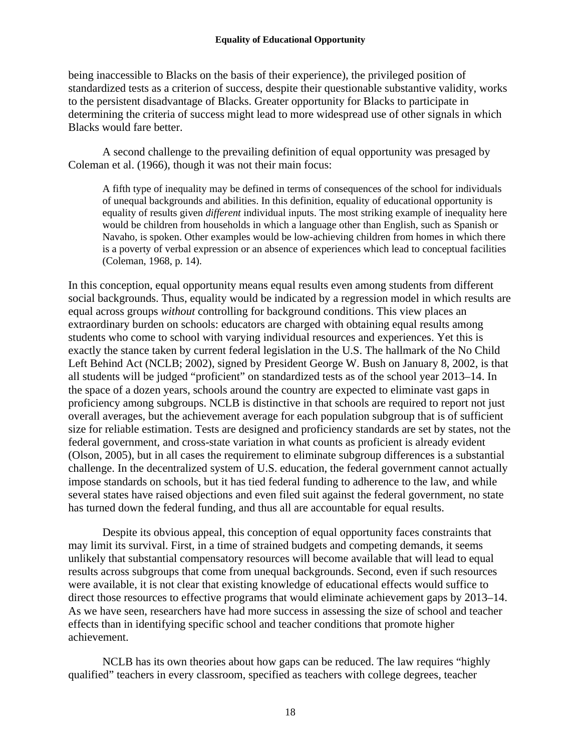being inaccessible to Blacks on the basis of their experience), the privileged position of standardized tests as a criterion of success, despite their questionable substantive validity, works to the persistent disadvantage of Blacks. Greater opportunity for Blacks to participate in determining the criteria of success might lead to more widespread use of other signals in which Blacks would fare better.

A second challenge to the prevailing definition of equal opportunity was presaged by Coleman et al. (1966), though it was not their main focus:

A fifth type of inequality may be defined in terms of consequences of the school for individuals of unequal backgrounds and abilities. In this definition, equality of educational opportunity is equality of results given *different* individual inputs. The most striking example of inequality here would be children from households in which a language other than English, such as Spanish or Navaho, is spoken. Other examples would be low-achieving children from homes in which there is a poverty of verbal expression or an absence of experiences which lead to conceptual facilities (Coleman, 1968, p. 14).

In this conception, equal opportunity means equal results even among students from different social backgrounds. Thus, equality would be indicated by a regression model in which results are equal across groups *without* controlling for background conditions. This view places an extraordinary burden on schools: educators are charged with obtaining equal results among students who come to school with varying individual resources and experiences. Yet this is exactly the stance taken by current federal legislation in the U.S. The hallmark of the No Child Left Behind Act (NCLB; 2002), signed by President George W. Bush on January 8, 2002, is that all students will be judged "proficient" on standardized tests as of the school year 2013–14. In the space of a dozen years, schools around the country are expected to eliminate vast gaps in proficiency among subgroups. NCLB is distinctive in that schools are required to report not just overall averages, but the achievement average for each population subgroup that is of sufficient size for reliable estimation. Tests are designed and proficiency standards are set by states, not the federal government, and cross-state variation in what counts as proficient is already evident (Olson, 2005), but in all cases the requirement to eliminate subgroup differences is a substantial challenge. In the decentralized system of U.S. education, the federal government cannot actually impose standards on schools, but it has tied federal funding to adherence to the law, and while several states have raised objections and even filed suit against the federal government, no state has turned down the federal funding, and thus all are accountable for equal results.

Despite its obvious appeal, this conception of equal opportunity faces constraints that may limit its survival. First, in a time of strained budgets and competing demands, it seems unlikely that substantial compensatory resources will become available that will lead to equal results across subgroups that come from unequal backgrounds. Second, even if such resources were available, it is not clear that existing knowledge of educational effects would suffice to direct those resources to effective programs that would eliminate achievement gaps by 2013–14. As we have seen, researchers have had more success in assessing the size of school and teacher effects than in identifying specific school and teacher conditions that promote higher achievement.

NCLB has its own theories about how gaps can be reduced. The law requires "highly qualified" teachers in every classroom, specified as teachers with college degrees, teacher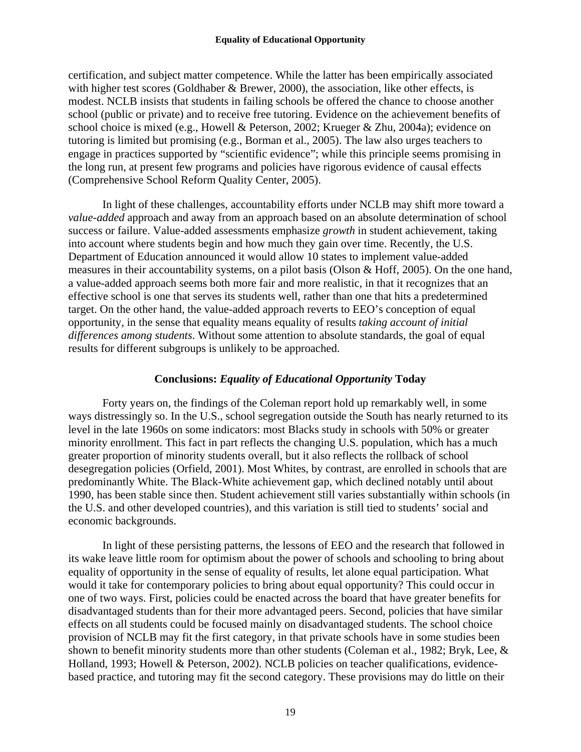certification, and subject matter competence. While the latter has been empirically associated with higher test scores (Goldhaber & Brewer, 2000), the association, like other effects, is modest. NCLB insists that students in failing schools be offered the chance to choose another school (public or private) and to receive free tutoring. Evidence on the achievement benefits of school choice is mixed (e.g., Howell & Peterson, 2002; Krueger & Zhu, 2004a); evidence on tutoring is limited but promising (e.g., Borman et al., 2005). The law also urges teachers to engage in practices supported by "scientific evidence"; while this principle seems promising in the long run, at present few programs and policies have rigorous evidence of causal effects (Comprehensive School Reform Quality Center, 2005).

In light of these challenges, accountability efforts under NCLB may shift more toward a *value-added* approach and away from an approach based on an absolute determination of school success or failure. Value-added assessments emphasize *growth* in student achievement, taking into account where students begin and how much they gain over time. Recently, the U.S. Department of Education announced it would allow 10 states to implement value-added measures in their accountability systems, on a pilot basis (Olson & Hoff, 2005). On the one hand, a value-added approach seems both more fair and more realistic, in that it recognizes that an effective school is one that serves its students well, rather than one that hits a predetermined target. On the other hand, the value-added approach reverts to EEO's conception of equal opportunity, in the sense that equality means equality of results *taking account of initial differences among students*. Without some attention to absolute standards, the goal of equal results for different subgroups is unlikely to be approached.

#### **Conclusions:** *Equality of Educational Opportunity* **Today**

Forty years on, the findings of the Coleman report hold up remarkably well, in some ways distressingly so. In the U.S., school segregation outside the South has nearly returned to its level in the late 1960s on some indicators: most Blacks study in schools with 50% or greater minority enrollment. This fact in part reflects the changing U.S. population, which has a much greater proportion of minority students overall, but it also reflects the rollback of school desegregation policies (Orfield, 2001). Most Whites, by contrast, are enrolled in schools that are predominantly White. The Black-White achievement gap, which declined notably until about 1990, has been stable since then. Student achievement still varies substantially within schools (in the U.S. and other developed countries), and this variation is still tied to students' social and economic backgrounds.

In light of these persisting patterns, the lessons of EEO and the research that followed in its wake leave little room for optimism about the power of schools and schooling to bring about equality of opportunity in the sense of equality of results, let alone equal participation. What would it take for contemporary policies to bring about equal opportunity? This could occur in one of two ways. First, policies could be enacted across the board that have greater benefits for disadvantaged students than for their more advantaged peers. Second, policies that have similar effects on all students could be focused mainly on disadvantaged students. The school choice provision of NCLB may fit the first category, in that private schools have in some studies been shown to benefit minority students more than other students (Coleman et al., 1982; Bryk, Lee, & Holland, 1993; Howell & Peterson, 2002). NCLB policies on teacher qualifications, evidencebased practice, and tutoring may fit the second category. These provisions may do little on their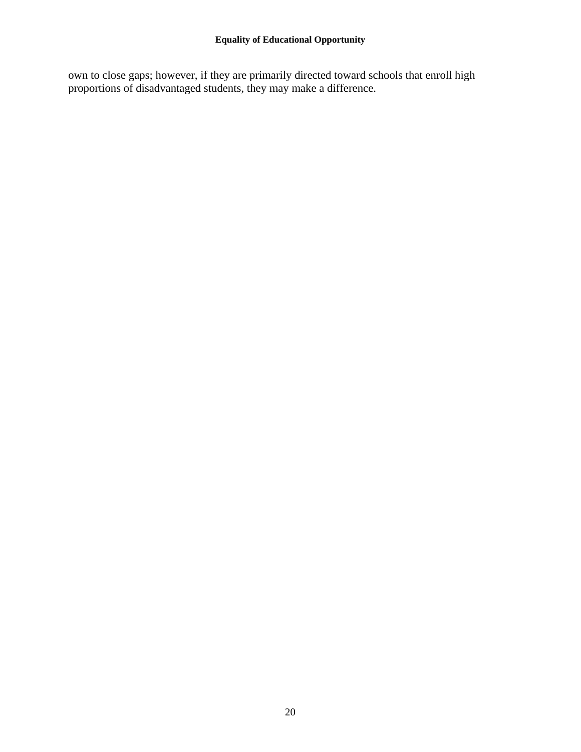own to close gaps; however, if they are primarily directed toward schools that enroll high proportions of disadvantaged students, they may make a difference.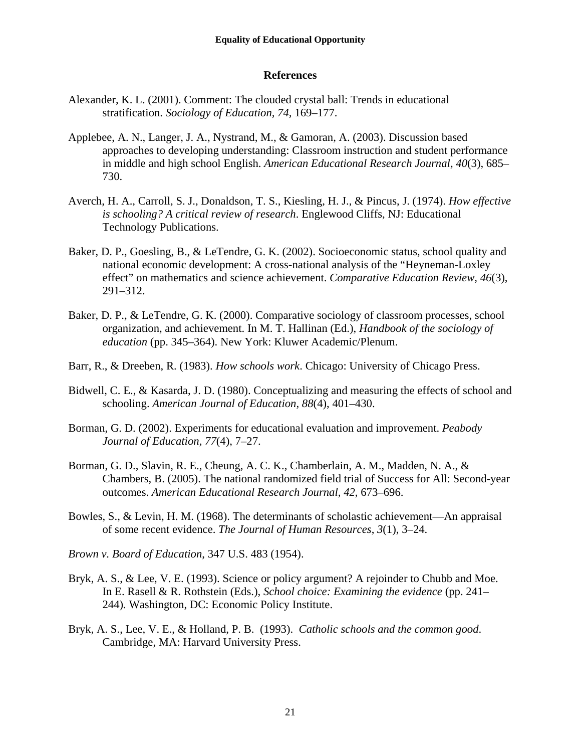#### **References**

- Alexander, K. L. (2001). Comment: The clouded crystal ball: Trends in educational stratification. *Sociology of Education, 74,* 169–177.
- Applebee, A. N., Langer, J. A., Nystrand, M., & Gamoran, A. (2003). Discussion based approaches to developing understanding: Classroom instruction and student performance in middle and high school English. *American Educational Research Journal, 40*(3), 685– 730.
- Averch, H. A., Carroll, S. J., Donaldson, T. S., Kiesling, H. J., & Pincus, J. (1974). *How effective is schooling? A critical review of research*. Englewood Cliffs, NJ: Educational Technology Publications.
- Baker, D. P., Goesling, B., & LeTendre, G. K. (2002). Socioeconomic status, school quality and national economic development: A cross-national analysis of the "Heyneman-Loxley effect" on mathematics and science achievement. *Comparative Education Review, 46*(3), 291–312.
- Baker, D. P., & LeTendre, G. K. (2000). Comparative sociology of classroom processes, school organization, and achievement. In M. T. Hallinan (Ed.), *Handbook of the sociology of education* (pp. 345–364). New York: Kluwer Academic/Plenum.
- Barr, R., & Dreeben, R. (1983). *How schools work*. Chicago: University of Chicago Press.
- Bidwell, C. E., & Kasarda, J. D. (1980). Conceptualizing and measuring the effects of school and schooling. *American Journal of Education, 88*(4), 401–430.
- Borman, G. D. (2002). Experiments for educational evaluation and improvement. *Peabody Journal of Education, 77*(4), 7–27.
- Borman, G. D., Slavin, R. E., Cheung, A. C. K., Chamberlain, A. M., Madden, N. A., & Chambers, B. (2005). The national randomized field trial of Success for All: Second-year outcomes. *American Educational Research Journal, 42*, 673–696.
- Bowles, S., & Levin, H. M. (1968). The determinants of scholastic achievement—An appraisal of some recent evidence. *The Journal of Human Resources*, *3*(1), 3–24.
- *Brown v. Board of Education*, 347 U.S. 483 (1954).
- Bryk, A. S., & Lee, V. E. (1993). Science or policy argument? A rejoinder to Chubb and Moe. In E. Rasell & R. Rothstein (Eds.), *School choice: Examining the evidence* (pp. 241– 244)*.* Washington, DC: Economic Policy Institute.
- Bryk, A. S., Lee, V. E., & Holland, P. B. (1993). *Catholic schools and the common good*. Cambridge, MA: Harvard University Press.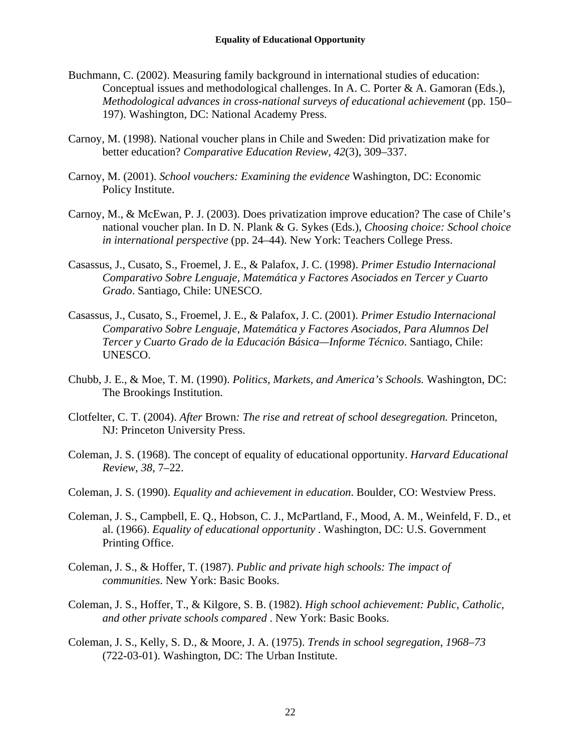- Buchmann, C. (2002). Measuring family background in international studies of education: Conceptual issues and methodological challenges. In A. C. Porter & A. Gamoran (Eds.), *Methodological advances in cross-national surveys of educational achievement* (pp. 150– 197). Washington, DC: National Academy Press.
- Carnoy, M. (1998). National voucher plans in Chile and Sweden: Did privatization make for better education? *Comparative Education Review, 42*(3), 309–337.
- Carnoy, M. (2001). *School vouchers: Examining the evidence* Washington, DC: Economic Policy Institute.
- Carnoy, M., & McEwan, P. J. (2003). Does privatization improve education? The case of Chile's national voucher plan. In D. N. Plank & G. Sykes (Eds.), *Choosing choice: School choice in international perspective* (pp. 24–44). New York: Teachers College Press.
- Casassus, J., Cusato, S., Froemel, J. E., & Palafox, J. C. (1998). *Primer Estudio Internacional Comparativo Sobre Lenguaje, Matemática y Factores Asociados en Tercer y Cuarto Grado*. Santiago, Chile: UNESCO.
- Casassus, J., Cusato, S., Froemel, J. E., & Palafox, J. C. (2001). *Primer Estudio Internacional Comparativo Sobre Lenguaje, Matemática y Factores Asociados, Para Alumnos Del Tercer y Cuarto Grado de la Educación Básica—Informe Técnico*. Santiago, Chile: UNESCO.
- Chubb, J. E., & Moe, T. M. (1990). *Politics, Markets, and America's Schools.* Washington, DC: The Brookings Institution.
- Clotfelter, C. T. (2004). *After* Brown*: The rise and retreat of school desegregation.* Princeton, NJ: Princeton University Press.
- Coleman, J. S. (1968). The concept of equality of educational opportunity. *Harvard Educational Review*, *38*, 7–22.
- Coleman, J. S. (1990). *Equality and achievement in education*. Boulder, CO: Westview Press.
- Coleman, J. S., Campbell, E. Q., Hobson, C. J., McPartland, F., Mood, A. M., Weinfeld, F. D., et al. (1966). *Equality of educational opportunity* . Washington, DC: U.S. Government Printing Office.
- Coleman, J. S., & Hoffer, T. (1987). *Public and private high schools: The impact of communities*. New York: Basic Books.
- Coleman, J. S., Hoffer, T., & Kilgore, S. B. (1982). *High school achievement: Public, Catholic, and other private schools compared* . New York: Basic Books.
- Coleman, J. S., Kelly, S. D., & Moore, J. A. (1975). *Trends in school segregation, 1968–73* (722-03-01). Washington, DC: The Urban Institute.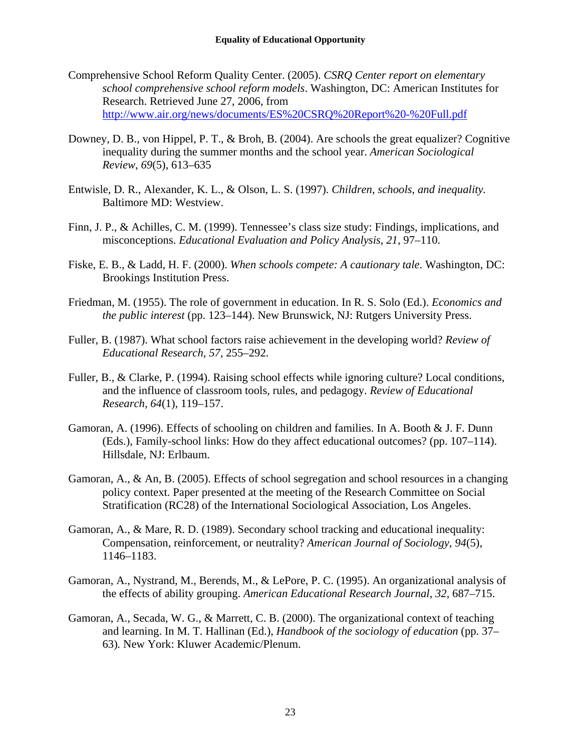- Comprehensive School Reform Quality Center. (2005). *CSRQ Center report on elementary school comprehensive school reform models*. Washington, DC: American Institutes for Research. Retrieved June 27, 2006, from <http://www.air.org/news/documents/ES%20CSRQ%20Report%20-%20Full.pdf>
- Downey, D. B., von Hippel, P. T., & Broh, B. (2004). Are schools the great equalizer? Cognitive inequality during the summer months and the school year. *American Sociological Review*, *69*(5), 613–635
- Entwisle, D. R., Alexander, K. L., & Olson, L. S. (1997). *Children, schools, and inequality.* Baltimore MD: Westview.
- Finn, J. P., & Achilles, C. M. (1999). Tennessee's class size study: Findings, implications, and misconceptions. *Educational Evaluation and Policy Analysis, 21,* 97–110.
- Fiske, E. B., & Ladd, H. F. (2000). *When schools compete: A cautionary tale*. Washington, DC: Brookings Institution Press.
- Friedman, M. (1955). The role of government in education. In R. S. Solo (Ed.). *Economics and the public interest* (pp. 123–144). New Brunswick, NJ: Rutgers University Press.
- Fuller, B. (1987). What school factors raise achievement in the developing world? *Review of Educational Research, 57,* 255–292.
- Fuller, B., & Clarke, P. (1994). Raising school effects while ignoring culture? Local conditions, and the influence of classroom tools, rules, and pedagogy. *Review of Educational Research, 64*(1), 119–157.
- Gamoran, A. (1996). Effects of schooling on children and families. In A. Booth & J. F. Dunn (Eds.), Family-school links: How do they affect educational outcomes? (pp. 107–114). Hillsdale, NJ: Erlbaum.
- Gamoran, A., & An, B. (2005). Effects of school segregation and school resources in a changing policy context. Paper presented at the meeting of the Research Committee on Social Stratification (RC28) of the International Sociological Association, Los Angeles.
- Gamoran, A., & Mare, R. D. (1989). Secondary school tracking and educational inequality: Compensation, reinforcement, or neutrality? *American Journal of Sociology, 94*(5), 1146–1183.
- Gamoran, A., Nystrand, M., Berends, M., & LePore, P. C. (1995). An organizational analysis of the effects of ability grouping. *American Educational Research Journal*, *32*, 687–715.
- Gamoran, A., Secada, W. G., & Marrett, C. B. (2000). The organizational context of teaching and learning. In M. T. Hallinan (Ed.), *Handbook of the sociology of education* (pp. 37– 63)*.* New York: Kluwer Academic/Plenum.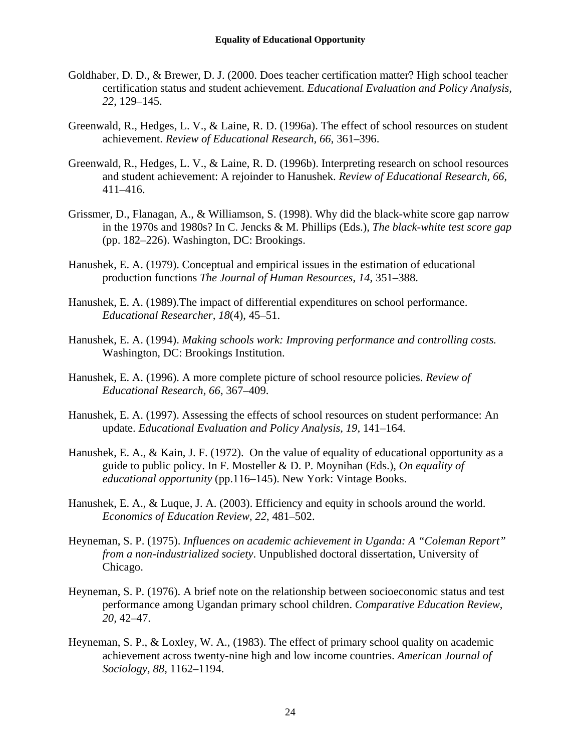- Goldhaber, D. D., & Brewer, D. J. (2000. Does teacher certification matter? High school teacher certification status and student achievement. *Educational Evaluation and Policy Analysis, 22*, 129–145.
- Greenwald, R., Hedges, L. V., & Laine, R. D. (1996a). The effect of school resources on student achievement. *Review of Educational Research, 66*, 361–396.
- Greenwald, R., Hedges, L. V., & Laine, R. D. (1996b). Interpreting research on school resources and student achievement: A rejoinder to Hanushek. *Review of Educational Research, 66*, 411–416.
- Grissmer, D., Flanagan, A., & Williamson, S. (1998). Why did the black-white score gap narrow in the 1970s and 1980s? In C. Jencks & M. Phillips (Eds.), *The black-white test score gap*  (pp. 182–226). Washington, DC: Brookings.
- Hanushek, E. A. (1979). Conceptual and empirical issues in the estimation of educational production functions *The Journal of Human Resources*, *14*, 351–388.
- Hanushek, E. A. (1989).The impact of differential expenditures on school performance. *Educational Researcher, 18*(4), 45–51.
- Hanushek, E. A. (1994). *Making schools work: Improving performance and controlling costs.*  Washington, DC: Brookings Institution.
- Hanushek, E. A. (1996). A more complete picture of school resource policies. *Review of Educational Research, 66*, 367–409.
- Hanushek, E. A. (1997). Assessing the effects of school resources on student performance: An update. *Educational Evaluation and Policy Analysis, 19,* 141–164.
- Hanushek, E. A., & Kain, J. F. (1972). On the value of equality of educational opportunity as a guide to public policy. In F. Mosteller & D. P. Moynihan (Eds.), *On equality of educational opportunity* (pp.116–145). New York: Vintage Books.
- Hanushek, E. A., & Luque, J. A. (2003). Efficiency and equity in schools around the world. *Economics of Education Review, 22*, 481–502.
- Heyneman, S. P. (1975). *Influences on academic achievement in Uganda: A "Coleman Report" from a non-industrialized society*. Unpublished doctoral dissertation, University of Chicago.
- Heyneman, S. P. (1976). A brief note on the relationship between socioeconomic status and test performance among Ugandan primary school children. *Comparative Education Review, 20,* 42–47.
- Heyneman, S. P., & Loxley, W. A., (1983). The effect of primary school quality on academic achievement across twenty-nine high and low income countries. *American Journal of Sociology, 88,* 1162–1194.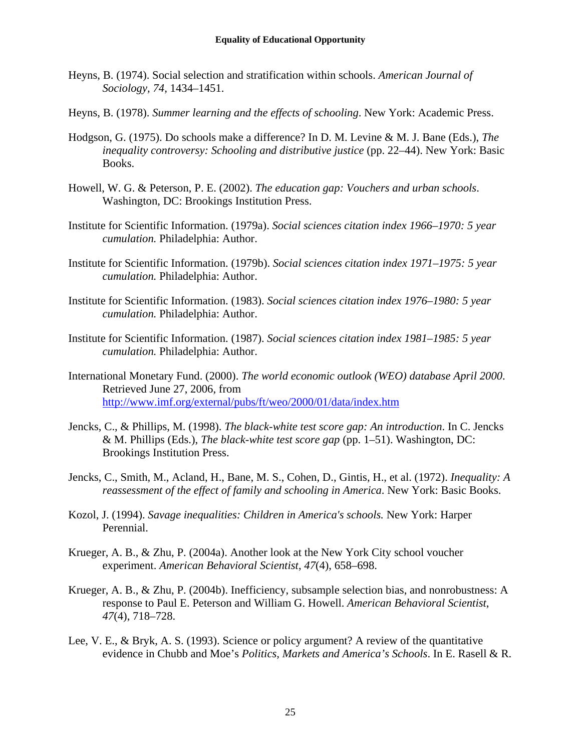- Heyns, B. (1974). Social selection and stratification within schools. *American Journal of Sociology, 74,* 1434–1451.
- Heyns, B. (1978). *Summer learning and the effects of schooling*. New York: Academic Press.
- Hodgson, G. (1975). Do schools make a difference? In D. M. Levine & M. J. Bane (Eds.), *The inequality controversy: Schooling and distributive justice* (pp. 22–44). New York: Basic Books.
- Howell, W. G. & Peterson, P. E. (2002). *The education gap: Vouchers and urban schools*. Washington, DC: Brookings Institution Press.
- Institute for Scientific Information. (1979a). *Social sciences citation index 1966–1970: 5 year cumulation.* Philadelphia: Author.
- Institute for Scientific Information. (1979b). *Social sciences citation index 1971–1975: 5 year cumulation.* Philadelphia: Author.
- Institute for Scientific Information. (1983). *Social sciences citation index 1976–1980: 5 year cumulation.* Philadelphia: Author.
- Institute for Scientific Information. (1987). *Social sciences citation index 1981–1985: 5 year cumulation.* Philadelphia: Author.
- International Monetary Fund. (2000). *The world economic outlook (WEO) database April 2000*. Retrieved June 27, 2006, from <http://www.imf.org/external/pubs/ft/weo/2000/01/data/index.htm>
- Jencks, C., & Phillips, M. (1998). *The black-white test score gap: An introduction*. In C. Jencks & M. Phillips (Eds.), *The black-white test score gap* (pp. 1–51). Washington, DC: Brookings Institution Press.
- Jencks, C., Smith, M., Acland, H., Bane, M. S., Cohen, D., Gintis, H., et al. (1972). *Inequality: A reassessment of the effect of family and schooling in America*. New York: Basic Books.
- Kozol, J. (1994). *Savage inequalities: Children in America's schools.* New York: Harper Perennial.
- Krueger, A. B., & Zhu, P. (2004a). Another look at the New York City school voucher experiment. *American Behavioral Scientist*, *47*(4), 658–698.
- Krueger, A. B., & Zhu, P. (2004b). Inefficiency, subsample selection bias, and nonrobustness: A response to Paul E. Peterson and William G. Howell. *American Behavioral Scientist*, *47*(4), 718–728.
- Lee, V. E., & Bryk, A. S. (1993). Science or policy argument? A review of the quantitative evidence in Chubb and Moe's *Politics, Markets and America's Schools*. In E. Rasell & R.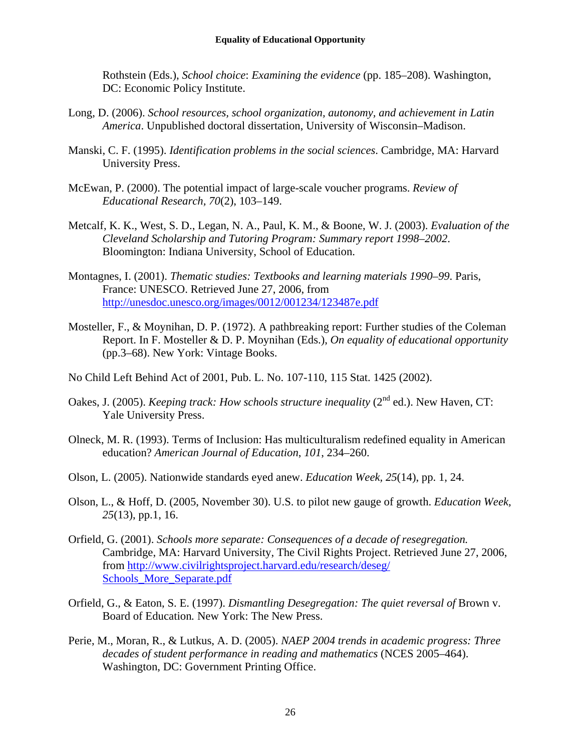Rothstein (Eds.), *School choice*: *Examining the evidence* (pp. 185–208). Washington, DC: Economic Policy Institute.

- Long, D. (2006). *School resources, school organization, autonomy, and achievement in Latin America*. Unpublished doctoral dissertation, University of Wisconsin–Madison.
- Manski, C. F. (1995). *Identification problems in the social sciences*. Cambridge, MA: Harvard University Press.
- McEwan, P. (2000). The potential impact of large-scale voucher programs. *Review of Educational Research, 70*(2), 103–149.
- Metcalf, K. K., West, S. D., Legan, N. A., Paul, K. M., & Boone, W. J. (2003). *Evaluation of the Cleveland Scholarship and Tutoring Program: Summary report 1998–2002*. Bloomington: Indiana University, School of Education.
- Montagnes, I. (2001). *Thematic studies: Textbooks and learning materials 1990–99*. Paris, France: UNESCO. Retrieved June 27, 2006, from <http://unesdoc.unesco.org/images/0012/001234/123487e.pdf>
- Mosteller, F., & Moynihan, D. P. (1972). A pathbreaking report: Further studies of the Coleman Report. In F. Mosteller & D. P. Moynihan (Eds.), *On equality of educational opportunity* (pp.3–68). New York: Vintage Books.
- No Child Left Behind Act of 2001, Pub. L. No. 107-110, 115 Stat. 1425 (2002).
- Oakes, J. (2005). *Keeping track: How schools structure inequality* (2<sup>nd</sup> ed.). New Haven, CT: Yale University Press.
- Olneck, M. R. (1993). Terms of Inclusion: Has multiculturalism redefined equality in American education? *American Journal of Education*, *101*, 234–260.
- Olson, L. (2005). Nationwide standards eyed anew. *Education Week, 25*(14), pp. 1, 24.
- Olson, L., & Hoff, D. (2005, November 30). U.S. to pilot new gauge of growth. *Education Week, 25*(13), pp.1, 16.
- Orfield, G. (2001). *Schools more separate: Consequences of a decade of resegregation.*  Cambridge, MA: Harvard University, The Civil Rights Project. Retrieved June 27, 2006, from [http://www.civilrightsproject.harvard.edu/research/deseg/](http://www.civilrightsproject.harvard.edu/research/deseg/Schools_More_Separate.pdf) [Schools\\_More\\_Separate.pdf](http://www.civilrightsproject.harvard.edu/research/deseg/Schools_More_Separate.pdf)
- Orfield, G., & Eaton, S. E. (1997). *Dismantling Desegregation: The quiet reversal of* Brown v. Board of Education*.* New York: The New Press.
- Perie, M., Moran, R., & Lutkus, A. D. (2005). *NAEP 2004 trends in academic progress: Three decades of student performance in reading and mathematics* (NCES 2005–464). Washington, DC: Government Printing Office.